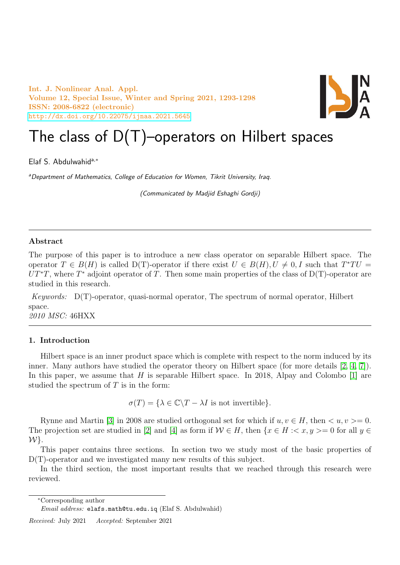Int. J. Nonlinear Anal. Appl. Volume 12, Special Issue, Winter and Spring 2021, 1293-1298 ISSN: 2008-6822 (electronic) <http://dx.doi.org/10.22075/ijnaa.2021.5645>



# The class of  $D(T)$ –operators on Hilbert spaces

Elaf S. Abdulwahida,<sup>∗</sup>

aDepartment of Mathematics, College of Education for Women, Tikrit University, Iraq.

(Communicated by Madjid Eshaghi Gordji)

## Abstract

The purpose of this paper is to introduce a new class operator on separable Hilbert space. The operator  $T \in B(H)$  is called D(T)-operator if there exist  $U \in B(H)$ ,  $U \neq 0, I$  such that  $T^*TU =$  $UT^*T$ , where  $T^*$  adjoint operator of T. Then some main properties of the class of D(T)-operator are studied in this research.

Keywords: D(T)-operator, quasi-normal operator, The spectrum of normal operator, Hilbert space. 2010 MSC: 46HXX

## 1. Introduction

Hilbert space is an inner product space which is complete with respect to the norm induced by its inner. Many authors have studied the operator theory on Hilbert space (for more details [\[2,](#page-5-0) [4,](#page-5-1) [7\]](#page-5-2)). In this paper, we assume that  $H$  is separable Hilbert space. In 2018, Alpay and Colombo  $[1]$  are studied the spectrum of  $T$  is in the form:

 $\sigma(T) = {\lambda \in \mathbb{C} \backslash T - \lambda I}$  is not invertible}.

Rynne and Martin [\[3\]](#page-5-4) in 2008 are studied orthogonal set for which if  $u, v \in H$ , then  $\langle u, v \rangle = 0$ . The projection set are studied in [\[2\]](#page-5-0) and [\[4\]](#page-5-1) as form if  $W \in H$ , then  $\{x \in H : \langle x, y \rangle = 0 \text{ for all } y \in H\}$  $W$ .

This paper contains three sections. In section two we study most of the basic properties of D(T)-operator and we investigated many new results of this subject.

In the third section, the most important results that we reached through this research were reviewed.

<sup>∗</sup>Corresponding author

Received: July 2021 Accepted: September 2021

Email address: elafs.math@tu.edu.iq (Elaf S. Abdulwahid)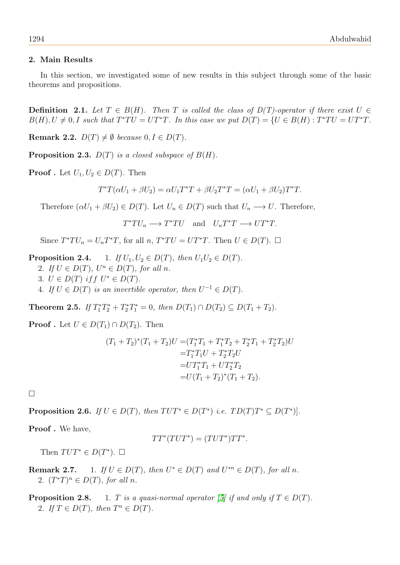## 2. Main Results

In this section, we investigated some of new results in this subject through some of the basic theorems and propositions.

**Definition** 2.1. Let  $T \in B(H)$ . Then T is called the class of  $D(T)$ -operator if there exist  $U \in$  $B(H), U \neq 0, I$  such that  $T^*TU = UT^*T$ . In this case we put  $D(T) = \{U \in B(H) : T^*TU = UT^*T$ .

Remark 2.2.  $D(T) \neq \emptyset$  because  $0, I \in D(T)$ .

**Proposition 2.3.**  $D(T)$  is a closed subspace of  $B(H)$ .

**Proof**. Let  $U_1, U_2 \in D(T)$ . Then

$$
T^*T(\alpha U_1 + \beta U_2) = \alpha U_1 T^*T + \beta U_2 T^*T = (\alpha U_1 + \beta U_2) T^*T.
$$

Therefore  $(\alpha U_1 + \beta U_2) \in D(T)$ . Let  $U_n \in D(T)$  such that  $U_n \longrightarrow U$ . Therefore,

 $T^*TU_n \longrightarrow T^*TU$  and  $U_nT^*T \longrightarrow UT^*T$ .

Since  $T^*TU_n = U_nT^*T$ , for all  $n, T^*TU = UT^*T$ . Then  $U \in D(T)$ .  $\Box$ 

**Proposition 2.4.** 1. If  $U_1, U_2 \in D(T)$ , then  $U_1U_2 \in D(T)$ .

- 2. If  $U \in D(T)$ ,  $U^n \in D(T)$ , for all n.
- 3.  $U \in D(T)$  if  $U^* \in D(T)$ .
- 4. If  $U \in D(T)$  is an invertible operator, then  $U^{-1} \in D(T)$ .

**Theorem 2.5.** If  $T_1^*T_2^* + T_2^*T_1^* = 0$ , then  $D(T_1) \cap D(T_2) \subseteq D(T_1 + T_2)$ .

**Proof** . Let  $U \in D(T_1) \cap D(T_2)$ . Then

$$
(T_1 + T_2)^*(T_1 + T_2)U = (T_1^*T_1 + T_1^*T_2 + T_2^*T_1 + T_2^*T_2)U
$$
  

$$
= T_1^*T_1U + T_2^*T_2U
$$
  

$$
= UT_1^*T_1 + UT_2^*T_2
$$
  

$$
= U(T_1 + T_2)^*(T_1 + T_2).
$$

□

**Proposition 2.6.** If  $U \in D(T)$ , then  $TUT^* \in D(T^*)$  i.e.  $TD(T)T^* \subseteq D(T^*)$ .

Proof. We have,

$$
TT^*(TUT^*) = (TUT^*)TT^*.
$$

Then  $TUT^* \in D(T^*)$ .  $\square$ 

**Remark 2.7.** 1. If  $U \in D(T)$ , then  $U^* \in D(T)$  and  $U^{*n} \in D(T)$ , for all n. 2.  $(T^*T)^n \in D(T)$ , for all n.

**Proposition 2.8.** 1. T is a quasi-normal operator [\[5\]](#page-5-5) if and only if  $T \in D(T)$ . 2. If  $T \in D(T)$ , then  $T^n \in D(T)$ .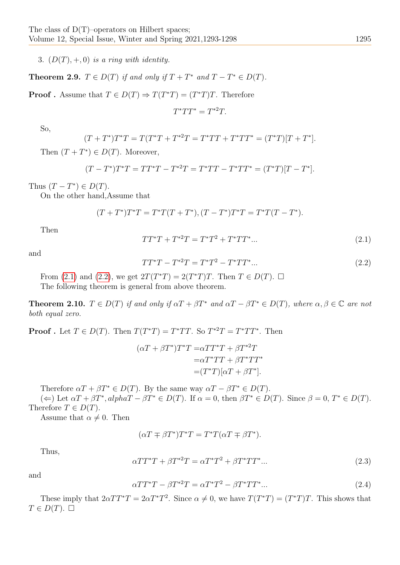3.  $(D(T), +, 0)$  is a ring with identity.

**Theorem 2.9.**  $T \in D(T)$  if and only if  $T + T^*$  and  $T - T^* \in D(T)$ .

**Proof**. Assume that  $T \in D(T) \Rightarrow T(T^*T) = (T^*T)T$ . Therefore

$$
T^*TT^* = T^{*2}T.
$$

So,

$$
(T+T^*)T^*T = T(T^*T+T^{*2}T = T^*TT+T^*TT^* = (T^*T)[T+T^*].
$$

Then  $(T+T^*)\in D(T)$ . Moreover,

$$
(T - T^*)T^*T = TT^*T - T^{*2}T = T^*TT - T^*TT^* = (T^*T)[T - T^*].
$$

Thus  $(T - T^*) \in D(T)$ .

On the other hand,Assume that

$$
(T+T^*)T^*T = T^*T(T+T^*), (T-T^*)T^*T = T^*T(T-T^*).
$$

Then

<span id="page-2-0"></span>
$$
TT^*T + T^{*2}T = T^*T^2 + T^*TT^*...
$$
\n(2.1)

and

<span id="page-2-1"></span>
$$
TT^*T - T^{*2}T = T^*T^2 - T^*TT^*...
$$
\n(2.2)

From [\(2.1\)](#page-2-0) and [\(2.2\)](#page-2-1), we get  $2T(T^*T) = 2(T^*T)T$ . Then  $T \in D(T)$ .  $\Box$ The following theorem is general from above theorem.

**Theorem 2.10.**  $T \in D(T)$  if and only if  $\alpha T + \beta T^*$  and  $\alpha T - \beta T^* \in D(T)$ , where  $\alpha, \beta \in \mathbb{C}$  are not both equal zero.

**Proof**. Let  $T \in D(T)$ . Then  $T(T^*T) = T^*TT$ . So  $T^{*2}T = T^*TT^*$ . Then

$$
(\alpha T + \beta T^*)T^*T = \alpha TT^*T + \beta T^{*2}T
$$
  

$$
= \alpha T^*TT + \beta T^*TT^*
$$
  

$$
= (T^*T)[\alpha T + \beta T^*].
$$

Therefore  $\alpha T + \beta T^* \in D(T)$ . By the same way  $\alpha T - \beta T^* \in D(T)$ .

 $(\Leftarrow)$  Let  $\alpha T + \beta T^*$ ,  $alpha T - \beta T^* \in D(T)$ . If  $\alpha = 0$ , then  $\beta T^* \in D(T)$ . Since  $\beta = 0$ ,  $T^* \in D(T)$ . Therefore  $T \in D(T)$ .

Assume that  $\alpha \neq 0$ . Then

$$
(\alpha T \mp \beta T^*)T^*T = T^*T(\alpha T \mp \beta T^*).
$$

Thus,

$$
\alpha TT^*T + \beta T^{*2}T = \alpha T^*T^2 + \beta T^*TT^* \dots \tag{2.3}
$$

and

$$
\alpha TT^*T - \beta T^{*2}T = \alpha T^*T^2 - \beta T^*TT^* \dots \tag{2.4}
$$

These imply that  $2\alpha TT^*T = 2\alpha T^*T^2$ . Since  $\alpha \neq 0$ , we have  $T(T^*T) = (T^*T)T$ . This shows that  $T \in D(T)$ .  $\Box$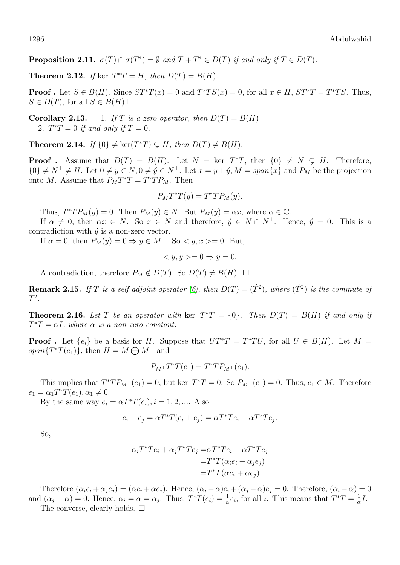**Proposition 2.11.**  $\sigma(T) \cap \sigma(T^*) = \emptyset$  and  $T + T^* \in D(T)$  if and only if  $T \in D(T)$ .

**Theorem 2.12.** If ker  $T^*T = H$ , then  $D(T) = B(H)$ .

**Proof**. Let  $S \in B(H)$ . Since  $ST^*T(x) = 0$  and  $T^*TS(x) = 0$ , for all  $x \in H$ ,  $ST^*T = T^*TS$ . Thus,  $S \in D(T)$ , for all  $S \in B(H) \square$ 

**Corollary 2.13.** 1. If T is a zero operator, then  $D(T) = B(H)$ 2.  $T^*T = 0$  if and only if  $T = 0$ .

**Theorem 2.14.** If  $\{0\} \neq \ker(T^*T) \subsetneq H$ , then  $D(T) \neq B(H)$ .

**Proof**. Assume that  $D(T) = B(H)$ . Let  $N = \text{ker } T^*T$ , then  $\{0\} \neq N \subsetneq H$ . Therefore,  $\{0\} \neq N^{\perp} \neq H$ . Let  $0 \neq y \in N$ ,  $0 \neq \hat{y} \in N^{\perp}$ . Let  $x = y + \hat{y}$ ,  $M = span\{x\}$  and  $P_M$  be the projection onto M. Assume that  $P_M T^* T = T^* T P_M$ . Then

$$
P_M T^* T(y) = T^* T P_M(y).
$$

Thus,  $T^*TP_M(y) = 0$ . Then  $P_M(y) \in N$ . But  $P_M(y) = \alpha x$ , where  $\alpha \in \mathbb{C}$ .

If  $\alpha \neq 0$ , then  $\alpha x \in N$ . So  $x \in N$  and therefore,  $\acute{y} \in N \cap N^{\perp}$ . Hence,  $\acute{y} = 0$ . This is a contradiction with  $\acute{y}$  is a non-zero vector.

If  $\alpha = 0$ , then  $P_M(y) = 0 \Rightarrow y \in M^{\perp}$ . So  $\langle y, x \rangle = 0$ . But,

$$
\langle y, y \rangle = 0 \Rightarrow y = 0.
$$

A contradiction, therefore  $P_M \notin D(T)$ . So  $D(T) \neq B(H)$ .  $\Box$ 

**Remark 2.15.** If T is a self adjoint operator [\[6\]](#page-5-6), then  $D(T) = (\hat{T}^2)$ , where  $(\hat{T}^2)$  is the commute of  $T^2$ .

**Theorem 2.16.** Let T be an operator with ker  $T^*T = \{0\}$ . Then  $D(T) = B(H)$  if and only if  $T^*T = \alpha I$ , where  $\alpha$  is a non-zero constant.

**Proof**. Let  $\{e_i\}$  be a basis for H. Suppose that  $UT^*T = T^*TU$ , for all  $U \in B(H)$ . Let  $M =$  $span\{T^*T(e_1)\}\text{, then } H=M\bigoplus M^{\perp} \text{ and }$ 

$$
P_{M^{\perp}}T^{*}T(e_{1})=T^{*}TP_{M^{\perp}}(e_{1}).
$$

This implies that  $T^*TP_{M^{\perp}}(e_1)=0$ , but ker  $T^*T=0$ . So  $P_{M^{\perp}}(e_1)=0$ . Thus,  $e_1 \in M$ . Therefore  $e_1 = \alpha_1 T^* T(e_1), \alpha_1 \neq 0.$ 

By the same way  $e_i = \alpha T^* T(e_i), i = 1, 2, \dots$ . Also

$$
e_i + e_j = \alpha T^* T(e_i + e_j) = \alpha T^* T e_i + \alpha T^* T e_j.
$$

So,

$$
\alpha_i T^* T e_i + \alpha_j T^* T e_j = \alpha T^* T e_i + \alpha T^* T e_j
$$
  
= 
$$
T^* T(\alpha_i e_i + \alpha_j e_j)
$$
  
= 
$$
T^* T(\alpha e_i + \alpha e_j).
$$

Therefore  $(\alpha_i e_i + \alpha_j e_j) = (\alpha e_i + \alpha e_j)$ . Hence,  $(\alpha_i - \alpha) e_i + (\alpha_j - \alpha) e_j = 0$ . Therefore,  $(\alpha_i - \alpha) = 0$ and  $(\alpha_j - \alpha) = 0$ . Hence,  $\alpha_i = \alpha = \alpha_j$ . Thus,  $T^*T(e_i) = \frac{1}{\alpha}e_i$ , for all i. This means that  $T^*T = \frac{1}{\alpha}$  $\frac{1}{\alpha}I$ .

The converse, clearly holds.  $\square$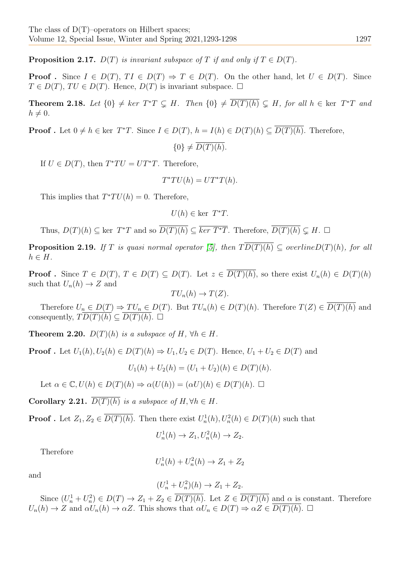**Proposition 2.17.**  $D(T)$  is invariant subspace of T if and only if  $T \in D(T)$ .

**Proof**. Since  $I \in D(T)$ ,  $TI \in D(T) \Rightarrow T \in D(T)$ . On the other hand, let  $U \in D(T)$ . Since  $T \in D(T)$ ,  $TU \in D(T)$ . Hence,  $D(T)$  is invariant subspace.  $\square$ 

**Theorem 2.18.** Let  $\{0\} \neq \ker T^*T \subsetneq H$ . Then  $\{0\} \neq \overline{D(T)(h)} \subsetneq H$ , for all  $h \in \ker T^*T$  and  $h \neq 0$ .

**Proof**. Let  $0 \neq h \in \text{ker } T^*T$ . Since  $I \in D(T)$ ,  $h = I(h) \in D(T)(h) \subseteq \overline{D(T)(h)}$ . Therefore,

$$
\{0\} \neq \overline{D(T)(h)}.
$$

If  $U \in D(T)$ , then  $T^*TU = UT^*T$ . Therefore,

$$
T^*TU(h) = UT^*T(h).
$$

This implies that  $T^*TU(h) = 0$ . Therefore,

$$
U(h) \in \text{ker } T^*T.
$$

Thus,  $D(T)(h) \subseteq \text{ker } T^*T$  and so  $\overline{D(T)(h)} \subseteq \overline{\text{ker } T^*T}$ . Therefore,  $\overline{D(T)(h)} \subseteq H$ .  $\Box$ 

**Proposition 2.19.** If T is quasi normal operator [\[5\]](#page-5-5), then  $T \overline{D(T)(h)} \subseteq \overline{overlineD(T)(h)}$ , for all  $h \in H$ .

**Proof**. Since  $T \in D(T)$ ,  $T \in D(T) \subseteq D(T)$ . Let  $z \in \overline{D(T)(h)}$ , so there exist  $U_n(h) \in D(T)(h)$ such that  $U_n(h) \to Z$  and

$$
TU_n(h) \to T(Z).
$$

Therefore  $U_n \in D(T) \Rightarrow TU_n \in D(T)$ . But  $TU_n(h) \in D(T)(h)$ . Therefore  $T(Z) \in \overline{D(T)(h)}$  and consequently,  $TD(T)(h) \subseteq D(T)(h)$ .  $\Box$ 

**Theorem 2.20.**  $D(T)(h)$  is a subspace of H,  $\forall h \in H$ .

**Proof**. Let  $U_1(h), U_2(h) \in D(T)(h) \Rightarrow U_1, U_2 \in D(T)$ . Hence,  $U_1 + U_2 \in D(T)$  and

 $U_1(h) + U_2(h) = (U_1 + U_2)(h) \in D(T)(h).$ 

Let  $\alpha \in \mathbb{C}, U(h) \in D(T)(h) \Rightarrow \alpha(U(h)) = (\alpha U)(h) \in D(T)(h)$ .  $\Box$ 

Corollary 2.21.  $\overline{D(T)(h)}$  is a subspace of H,  $\forall h \in H$ .

**Proof** . Let  $Z_1, Z_2 \in \overline{D(T)(h)}$ . Then there exist  $U_n^1(h), U_n^2(h) \in D(T)(h)$  such that

$$
U_n^1(h) \to Z_1, U_n^2(h) \to Z_2.
$$

Therefore

$$
U_n^1(h) + U_n^2(h) \to Z_1 + Z_2
$$

and

$$
(U_n^1 + U_n^2)(h) \to Z_1 + Z_2.
$$

Since  $(U_n^1 + U_n^2) \in D(T) \to Z_1 + Z_2 \in \overline{D(T)(h)}$ . Let  $Z \in \overline{D(T)(h)}$  and  $\alpha$  is constant. Therefore  $U_n(h) \to Z$  and  $\alpha U_n(h) \to \alpha Z$ . This shows that  $\alpha U_n \in D(T) \to \alpha Z \in \overline{D(T)(h)}$ .  $\Box$